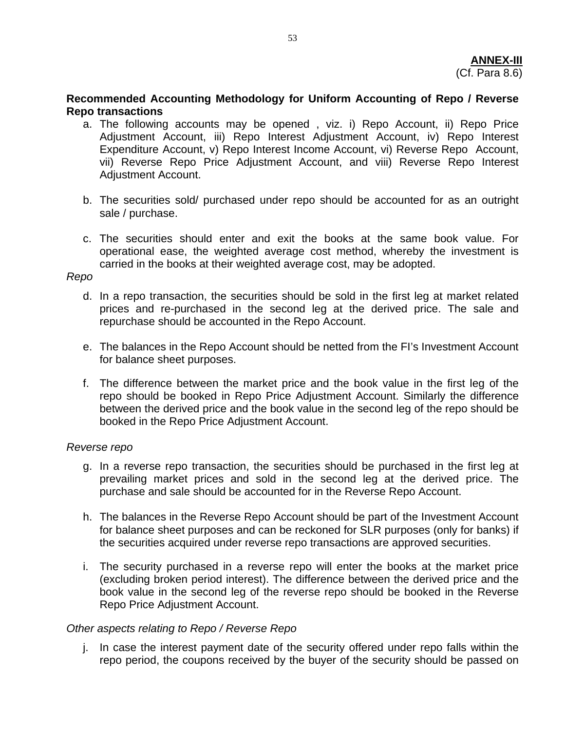## **Recommended Accounting Methodology for Uniform Accounting of Repo / Reverse Repo transactions**

- a. The following accounts may be opened , viz. i) Repo Account, ii) Repo Price Adjustment Account, iii) Repo Interest Adjustment Account, iv) Repo Interest Expenditure Account, v) Repo Interest Income Account, vi) Reverse Repo Account, vii) Reverse Repo Price Adjustment Account, and viii) Reverse Repo Interest Adjustment Account.
- b. The securities sold/ purchased under repo should be accounted for as an outright sale / purchase.
- c. The securities should enter and exit the books at the same book value. For operational ease, the weighted average cost method, whereby the investment is carried in the books at their weighted average cost, may be adopted.

## *Repo*

- d. In a repo transaction, the securities should be sold in the first leg at market related prices and re-purchased in the second leg at the derived price. The sale and repurchase should be accounted in the Repo Account.
- e. The balances in the Repo Account should be netted from the FI's Investment Account for balance sheet purposes.
- f. The difference between the market price and the book value in the first leg of the repo should be booked in Repo Price Adjustment Account. Similarly the difference between the derived price and the book value in the second leg of the repo should be booked in the Repo Price Adjustment Account.

## *Reverse repo*

- g. In a reverse repo transaction, the securities should be purchased in the first leg at prevailing market prices and sold in the second leg at the derived price. The purchase and sale should be accounted for in the Reverse Repo Account.
- h. The balances in the Reverse Repo Account should be part of the Investment Account for balance sheet purposes and can be reckoned for SLR purposes (only for banks) if the securities acquired under reverse repo transactions are approved securities.
- i. The security purchased in a reverse repo will enter the books at the market price (excluding broken period interest). The difference between the derived price and the book value in the second leg of the reverse repo should be booked in the Reverse Repo Price Adjustment Account.

## *Other aspects relating to Repo / Reverse Repo*

j. In case the interest payment date of the security offered under repo falls within the repo period, the coupons received by the buyer of the security should be passed on